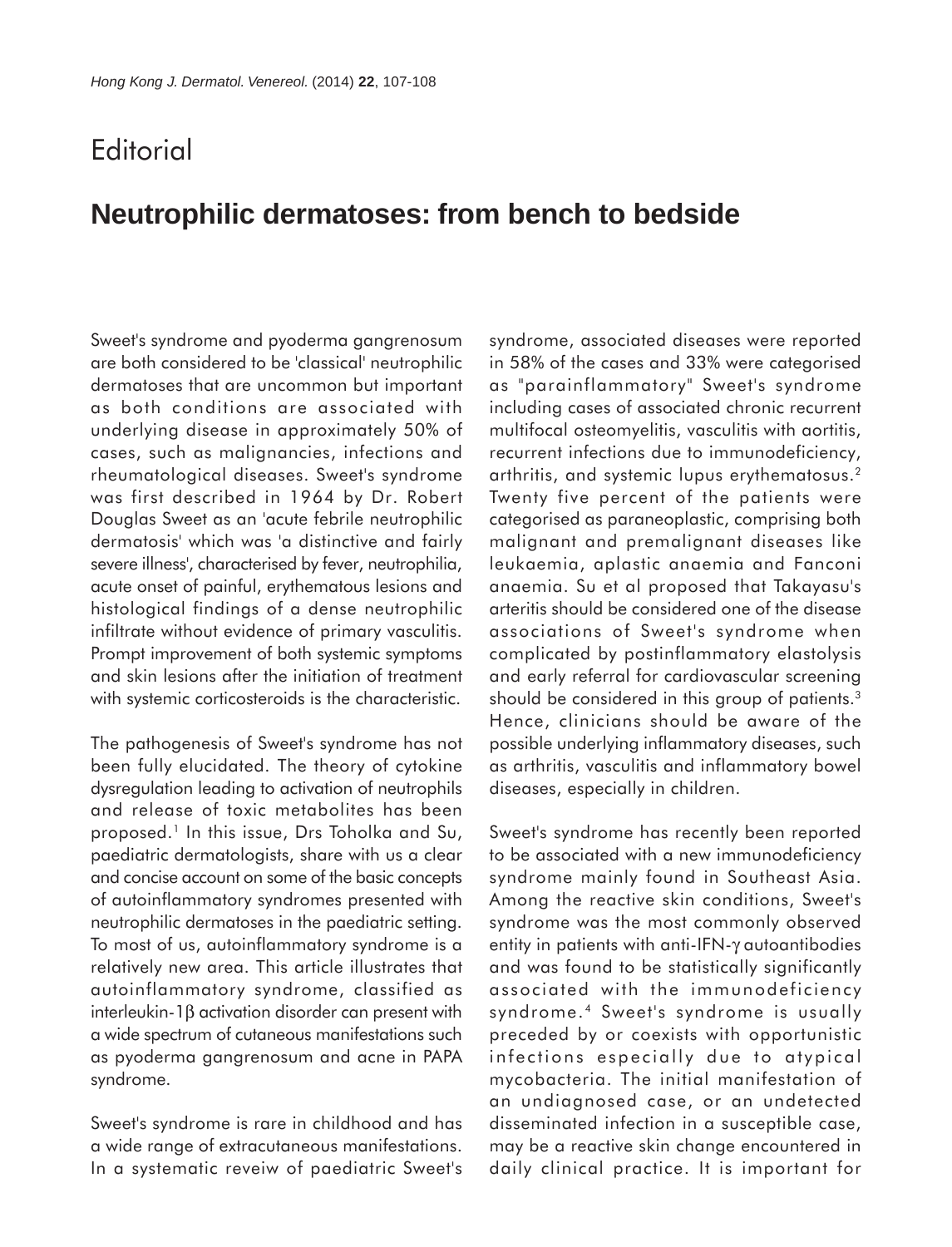## **Editorial**

## **Neutrophilic dermatoses: from bench to bedside**

Sweet's syndrome and pyoderma gangrenosum are both considered to be 'classical' neutrophilic dermatoses that are uncommon but important as both conditions are associated with underlying disease in approximately 50% of cases, such as malignancies, infections and rheumatological diseases. Sweet's syndrome was first described in 1964 by Dr. Robert Douglas Sweet as an 'acute febrile neutrophilic dermatosis' which was 'a distinctive and fairly severe illness', characterised by fever, neutrophilia, acute onset of painful, erythematous lesions and histological findings of a dense neutrophilic infiltrate without evidence of primary vasculitis. Prompt improvement of both systemic symptoms and skin lesions after the initiation of treatment with systemic corticosteroids is the characteristic.

The pathogenesis of Sweet's syndrome has not been fully elucidated. The theory of cytokine dysregulation leading to activation of neutrophils and release of toxic metabolites has been proposed.<sup>1</sup> In this issue, Drs Toholka and Su, paediatric dermatologists, share with us a clear and concise account on some of the basic concepts of autoinflammatory syndromes presented with neutrophilic dermatoses in the paediatric setting. To most of us, autoinflammatory syndrome is a relatively new area. This article illustrates that autoinflammatory syndrome, classified as interleukin-1β activation disorder can present with a wide spectrum of cutaneous manifestations such as pyoderma gangrenosum and acne in PAPA syndrome.

Sweet's syndrome is rare in childhood and has a wide range of extracutaneous manifestations. In a systematic reveiw of paediatric Sweet's syndrome, associated diseases were reported in 58% of the cases and 33% were categorised as "parainflammatory" Sweet's syndrome including cases of associated chronic recurrent multifocal osteomyelitis, vasculitis with aortitis, recurrent infections due to immunodeficiency, arthritis, and systemic lupus erythematosus.2 Twenty five percent of the patients were categorised as paraneoplastic, comprising both malignant and premalignant diseases like leukaemia, aplastic anaemia and Fanconi anaemia. Su et al proposed that Takayasu's arteritis should be considered one of the disease associations of Sweet's syndrome when complicated by postinflammatory elastolysis and early referral for cardiovascular screening should be considered in this group of patients.<sup>3</sup> Hence, clinicians should be aware of the possible underlying inflammatory diseases, such as arthritis, vasculitis and inflammatory bowel diseases, especially in children.

Sweet's syndrome has recently been reported to be associated with a new immunodeficiency syndrome mainly found in Southeast Asia. Among the reactive skin conditions, Sweet's syndrome was the most commonly observed entity in patients with anti-IFN-γ autoantibodies and was found to be statistically significantly associated with the immunodeficiency syndrome.<sup>4</sup> Sweet's syndrome is usually preceded by or coexists with opportunistic infections especially due to atypical mycobacteria. The initial manifestation of an undiagnosed case, or an undetected disseminated infection in a susceptible case, may be a reactive skin change encountered in daily clinical practice. It is important for